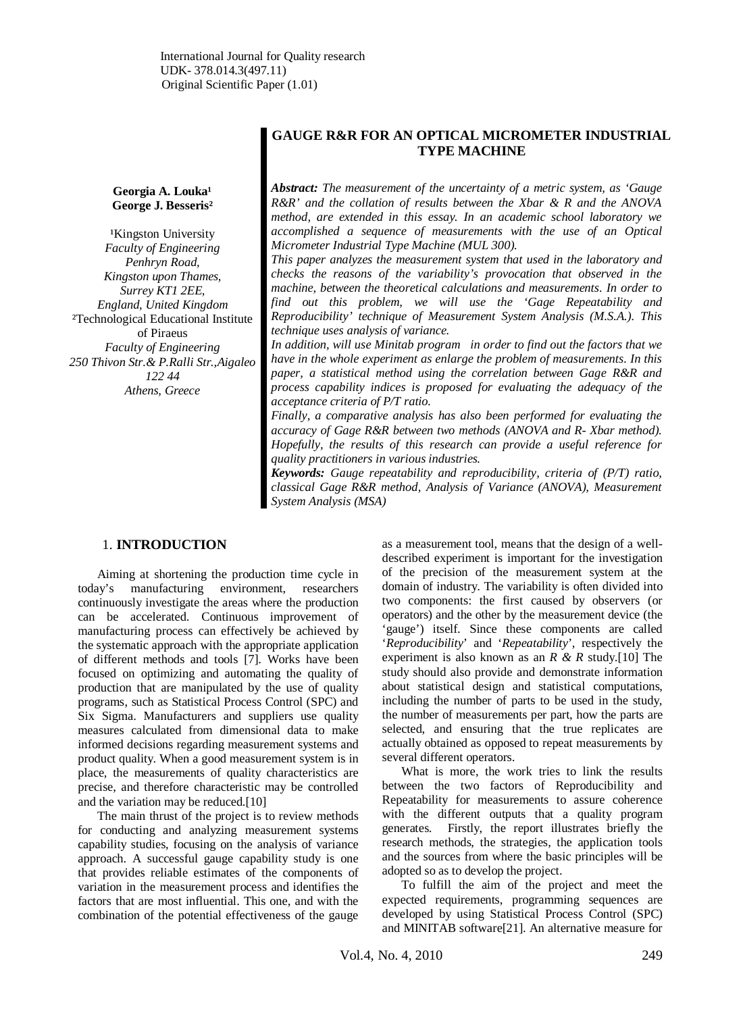Georgia A. Louka<sup>1</sup> **George J. Besseris²**

<sup>1</sup>Kingston University *Faculty of Engineering Penhryn Road, Kingston upon Thames, Surrey KT1 2EE, England, United Kingdom* ²Technological Educational Institute of Piraeus *Faculty of Engineering 250 Thivon Str.& P.Ralli Str.,Aigaleo 122 44 Athens, Greece*

### **GAUGE R&R FOR AN OPTICAL MICROMETER INDUSTRIAL TYPE MACHINE**

*Abstract: The measurement of the uncertainty of a metric system, as 'Gauge R&R' and the collation of results between the Xbar & R and the ANOVA method, are extended in this essay. In an academic school laboratory we accomplished a sequence of measurements with the use of an Optical Micrometer Industrial Type Machine (MUL 300).*

*This paper analyzes the measurement system that used in the laboratory and checks the reasons of the variability's provocation that observed in the machine, between the theoretical calculations and measurements. In order to find out this problem, we will use the 'Gage Repeatability and Reproducibility' technique of Measurement System Analysis (M.S.A.). This technique uses analysis of variance.*

*In addition, will use Minitab program in order to find out the factors that we have in the whole experiment as enlarge the problem of measurements. In this paper, a statistical method using the correlation between Gage R&R and process capability indices is proposed for evaluating the adequacy of the acceptance criteria of P/T ratio.*

*Finally, a comparative analysis has also been performed for evaluating the accuracy of Gage R&R between two methods (ANOVA and R- Xbar method). Hopefully, the results of this research can provide a useful reference for quality practitioners in various industries.*

*Keywords: Gauge repeatability and reproducibility, criteria of (P/T) ratio, classical Gage R&R method, Analysis of Variance (ANOVA), Measurement System Analysis (MSA)*

### 1. **INTRODUCTION**

Aiming at shortening the production time cycle in today's manufacturing environment, researchers continuously investigate the areas where the production can be accelerated. Continuous improvement of manufacturing process can effectively be achieved by the systematic approach with the appropriate application of different methods and tools [7]. Works have been focused on optimizing and automating the quality of production that are manipulated by the use of quality programs, such as Statistical Process Control (SPC) and Six Sigma. Manufacturers and suppliers use quality measures calculated from dimensional data to make informed decisions regarding measurement systems and product quality. When a good measurement system is in place, the measurements of quality characteristics are precise, and therefore characteristic may be controlled and the variation may be reduced.[10]

The main thrust of the project is to review methods for conducting and analyzing measurement systems capability studies, focusing on the analysis of variance approach. A successful gauge capability study is one that provides reliable estimates of the components of variation in the measurement process and identifies the factors that are most influential. This one, and with the combination of the potential effectiveness of the gauge

as a measurement tool, means that the design of a welldescribed experiment is important for the investigation of the precision of the measurement system at the domain of industry. The variability is often divided into two components: the first caused by observers (or operators) and the other by the measurement device (the 'gauge') itself. Since these components are called '*Reproducibility*' and '*Repeatability*', respectively the experiment is also known as an *R & R* study.[10] The study should also provide and demonstrate information about statistical design and statistical computations, including the number of parts to be used in the study, the number of measurements per part, how the parts are selected, and ensuring that the true replicates are actually obtained as opposed to repeat measurements by several different operators.

What is more, the work tries to link the results between the two factors of Reproducibility and Repeatability for measurements to assure coherence with the different outputs that a quality program generates. Firstly, the report illustrates briefly the research methods, the strategies, the application tools and the sources from where the basic principles will be adopted so as to develop the project.

To fulfill the aim of the project and meet the expected requirements, programming sequences are developed by using Statistical Process Control (SPC) and MINITAB software[21]. An alternative measure for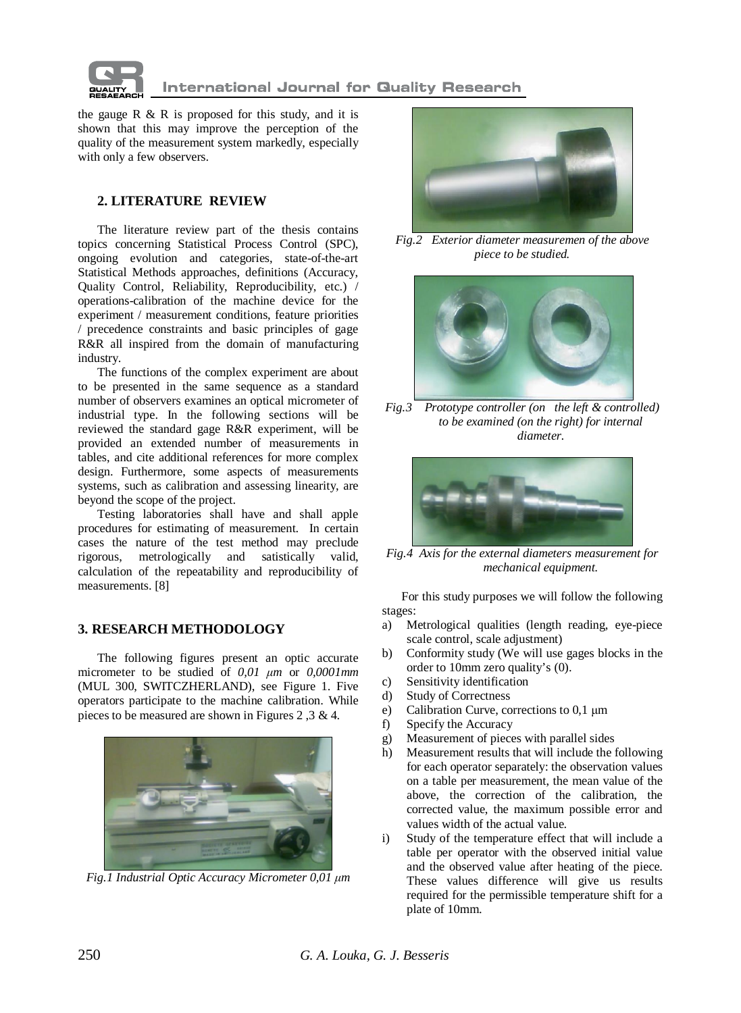

the gauge  $R \& R$  is proposed for this study, and it is shown that this may improve the perception of the quality of the measurement system markedly, especially with only a few observers.

# **2. LITERATURE REVIEW**

The literature review part of the thesis contains topics concerning Statistical Process Control (SPC), ongoing evolution and categories, state-of-the-art Statistical Methods approaches, definitions (Accuracy, Quality Control, Reliability, Reproducibility, etc.) / operations-calibration of the machine device for the experiment / measurement conditions, feature priorities / precedence constraints and basic principles of gage R&R all inspired from the domain of manufacturing industry.

The functions of the complex experiment are about to be presented in the same sequence as a standard number of observers examines an optical micrometer of industrial type. In the following sections will be reviewed the standard gage R&R experiment, will be provided an extended number of measurements in tables, and cite additional references for more complex design. Furthermore, some aspects of measurements systems, such as calibration and assessing linearity, are beyond the scope of the project.

Testing laboratories shall have and shall apple procedures for estimating of measurement. In certain cases the nature of the test method may preclude rigorous, metrologically and satistically valid, calculation of the repeatability and reproducibility of measurements. [8]

# **3. RESEARCH METHODOLOGY**

The following figures present an optic accurate micrometer to be studied of  $0.01 \mu m$  or  $0.0001 \mu m$ (MUL 300, SWITCZHERLAND), see Figure 1. Five operators participate to the machine calibration. While pieces to be measured are shown in Figures 2 ,3 & 4.



*Fig.1 Industrial Optic Accuracy Micrometer 0,01 ȝm*



*Fig.2 Exterior diameter measuremen of the above piece to be studied.*



*Fig.3 Prototype controller (on the left & controlled) to be examined (on the right) for internal diameter.*



*Fig.4 Axis for the external diameters measurement for mechanical equipment.*

For this study purposes we will follow the following stages:

- a) Metrological qualities (length reading, eye-piece scale control, scale adjustment)
- b) Conformity study (We will use gages blocks in the order to 10mm zero quality's (0).
- c) Sensitivity identification
- d) Study of Correctness
- e) Calibration Curve, corrections to  $0.1 \text{ }\mu\text{m}$
- f) Specify the Accuracy
- g) Measurement of pieces with parallel sides
- h) Measurement results that will include the following for each operator separately: the observation values on a table per measurement, the mean value of the above, the correction of the calibration, the corrected value, the maximum possible error and values width of the actual value.
- i) Study of the temperature effect that will include a table per operator with the observed initial value and the observed value after heating of the piece. These values difference will give us results required for the permissible temperature shift for a plate of 10mm.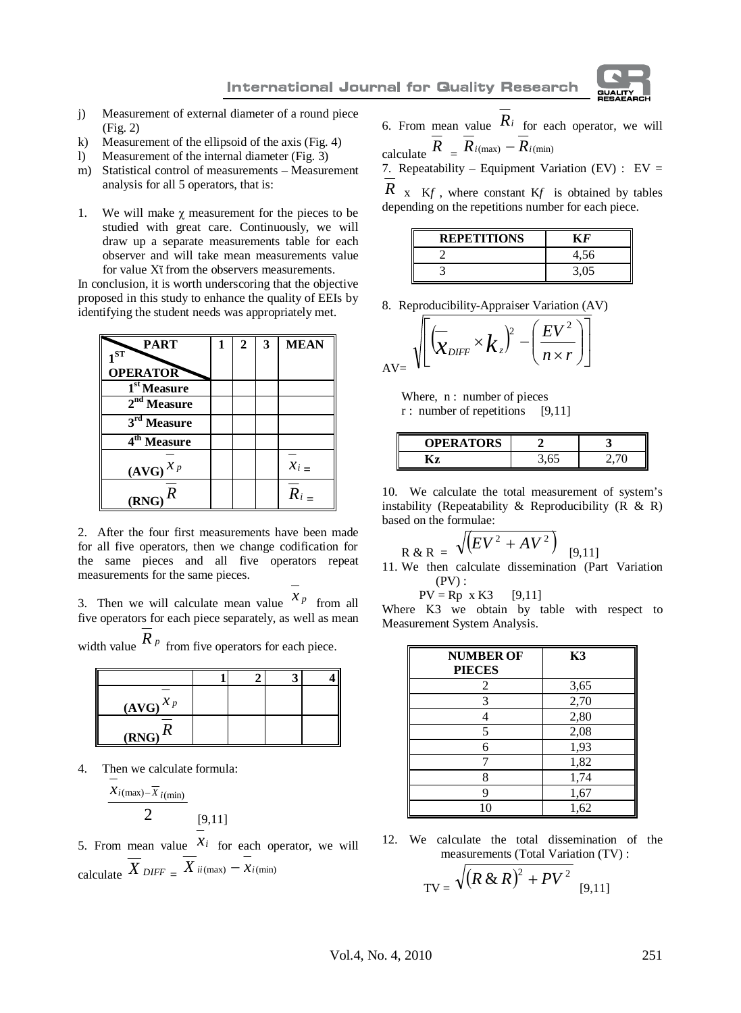

- j) Measurement of external diameter of a round piece (Fig. 2)
- k) Measurement of the ellipsoid of the axis (Fig. 4)
- 1) Measurement of the internal diameter (Fig. 3)<br>m) Statistical control of measurements Measure
- Statistical control of measurements Measurement analysis for all 5 operators, that is:
- 1. We will make  $\gamma$  measurement for the pieces to be studied with great care. Continuously, we will draw up a separate measurements table for each observer and will take mean measurements value for value Xi from the observers measurements.

In conclusion, it is worth underscoring that the objective proposed in this study to enhance the quality of EEIs by identifying the student needs was appropriately met.

| <b>PART</b>                  | 1 | $\overline{2}$ | 3 | <b>MEAN</b>      |
|------------------------------|---|----------------|---|------------------|
| <b>ST</b>                    |   |                |   |                  |
| <b>OPERATOR</b>              |   |                |   |                  |
| $1st$ Measure                |   |                |   |                  |
| $2nd$ Measure                |   |                |   |                  |
| $3rd$ Measure                |   |                |   |                  |
| 4 <sup>th</sup> Measure      |   |                |   |                  |
|                              |   |                |   |                  |
| $(AVG)$ <sup>Xp</sup>        |   |                |   | $x_i$            |
| $\underline{\text{(RNG)}}^R$ |   |                |   | $\overline{R_i}$ |

2. After the four first measurements have been made for all five operators, then we change codification for the same pieces and all five operators repeat measurements for the same pieces.

3. Then we will calculate mean value  $x_p$  from all five operators for each piece separately, as well as mean width value  $\mathbb{R}_p$  from five operators for each piece.

| $(AVG)$ <sup>X<sub>p</sub></sup> |  |  |
|----------------------------------|--|--|
| $(RNG)^R$                        |  |  |

4. Then we calculate formula:

$$
\frac{x_{i(\text{max})-\overline{X}_{i(\text{min})}}{2}
$$
 [9,11]

5. From mean value  $x_i$  for each operator, we will calculate  $\overline{X}_{DIFF} = X_{ii(max)} - x_{i(min)}$ 

6. From mean value  $R_i$  for each operator, we will

calculate  $R = R_{i(\text{max})} - R_{i(\text{min})}$ 7. Repeatability – Equipment Variation (EV) :  $EV =$ 

*R* x K*f* , where constant K*f* is obtained by tables depending on the repetitions number for each piece.

| <b>REPETITIONS</b> | KГ   |
|--------------------|------|
|                    | 4.56 |
|                    | 3,05 |

8. Reproducibility-Appraiser Variation (AV)

$$
\sqrt{\left[\left(\frac{1}{\chi_{\text{DIFF}}} \times k_z\right)^2 - \left(\frac{EV^2}{n \times r}\right)\right]}
$$

Where, n : number of pieces r : number of repetitions [9,11]

| RATORS<br>- 11 |  |
|----------------|--|
|                |  |

10. We calculate the total measurement of system's instability (Repeatability & Reproducibility (R & R) based on the formulae:

$$
R \& R = \sqrt{\left(EV^2 + AV^2\right)} \quad \text{[9,11]}
$$

11. We then calculate dissemination (Part Variation  $(PV)$ :

$$
PV = Rp \times K3 \qquad [9,11]
$$

Where K3 we obtain by table with respect to Measurement System Analysis.

| <b>NUMBER OF</b> | K3   |
|------------------|------|
| <b>PIECES</b>    |      |
| 2                | 3,65 |
| 3                | 2,70 |
| 4                | 2,80 |
| 5                | 2,08 |
| 6                | 1,93 |
|                  | 1,82 |
| 8                | 1,74 |
| 9                | 1,67 |
| 10               | 1,62 |

12. We calculate the total dissemination of the measurements (Total Variation (TV) :

$$
TV = \frac{\sqrt{(R \& R)^2 + PV^2}}{[9,11]}
$$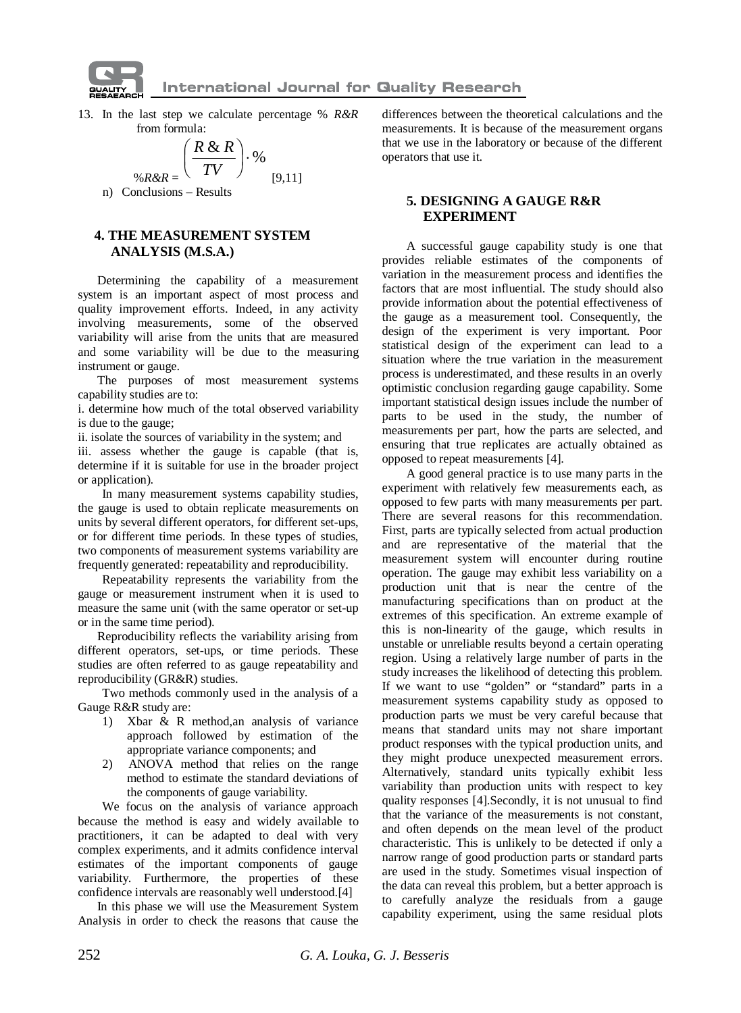

13. In the last step we calculate percentage % *R&R* from formula:

$$
\%R\&R = \left(\frac{R\&R}{TV}\right) \cdot \% \tag{9.11}
$$

n) Conclusions – Results

### **4. THE MEASUREMENT SYSTEM ANALYSIS (M.S.A.)**

Determining the capability of a measurement system is an important aspect of most process and quality improvement efforts. Indeed, in any activity involving measurements, some of the observed variability will arise from the units that are measured and some variability will be due to the measuring instrument or gauge.

The purposes of most measurement systems capability studies are to:

i. determine how much of the total observed variability is due to the gauge;

ii. isolate the sources of variability in the system; and

iii. assess whether the gauge is capable (that is, determine if it is suitable for use in the broader project or application).

In many measurement systems capability studies, the gauge is used to obtain replicate measurements on units by several different operators, for different set-ups, or for different time periods. In these types of studies, two components of measurement systems variability are frequently generated: repeatability and reproducibility.

Repeatability represents the variability from the gauge or measurement instrument when it is used to measure the same unit (with the same operator or set-up or in the same time period).

Reproducibility reflects the variability arising from different operators, set-ups, or time periods. These studies are often referred to as gauge repeatability and reproducibility (GR&R) studies.

Two methods commonly used in the analysis of a Gauge R&R study are:

- 1) Xbar & R method,an analysis of variance approach followed by estimation of the appropriate variance components; and
- 2) ANOVA method that relies on the range method to estimate the standard deviations of the components of gauge variability.

We focus on the analysis of variance approach because the method is easy and widely available to practitioners, it can be adapted to deal with very complex experiments, and it admits confidence interval estimates of the important components of gauge variability. Furthermore, the properties of these confidence intervals are reasonably well understood.[4]

In this phase we will use the Measurement System Analysis in order to check the reasons that cause the differences between the theoretical calculations and the measurements. It is because of the measurement organs that we use in the laboratory or because of the different operators that use it.

# **5. DESIGNING A GAUGE R&R EXPERIMENT**

A successful gauge capability study is one that provides reliable estimates of the components of variation in the measurement process and identifies the factors that are most influential. The study should also provide information about the potential effectiveness of the gauge as a measurement tool. Consequently, the design of the experiment is very important. Poor statistical design of the experiment can lead to a situation where the true variation in the measurement process is underestimated, and these results in an overly optimistic conclusion regarding gauge capability. Some important statistical design issues include the number of parts to be used in the study, the number of measurements per part, how the parts are selected, and ensuring that true replicates are actually obtained as opposed to repeat measurements [4].

A good general practice is to use many parts in the experiment with relatively few measurements each, as opposed to few parts with many measurements per part. There are several reasons for this recommendation. First, parts are typically selected from actual production and are representative of the material that the measurement system will encounter during routine operation. The gauge may exhibit less variability on a production unit that is near the centre of the manufacturing specifications than on product at the extremes of this specification. An extreme example of this is non-linearity of the gauge, which results in unstable or unreliable results beyond a certain operating region. Using a relatively large number of parts in the study increases the likelihood of detecting this problem. If we want to use "golden" or "standard" parts in a measurement systems capability study as opposed to production parts we must be very careful because that means that standard units may not share important product responses with the typical production units, and they might produce unexpected measurement errors. Alternatively, standard units typically exhibit less variability than production units with respect to key quality responses [4].Secondly, it is not unusual to find that the variance of the measurements is not constant, and often depends on the mean level of the product characteristic. This is unlikely to be detected if only a narrow range of good production parts or standard parts are used in the study. Sometimes visual inspection of the data can reveal this problem, but a better approach is to carefully analyze the residuals from a gauge capability experiment, using the same residual plots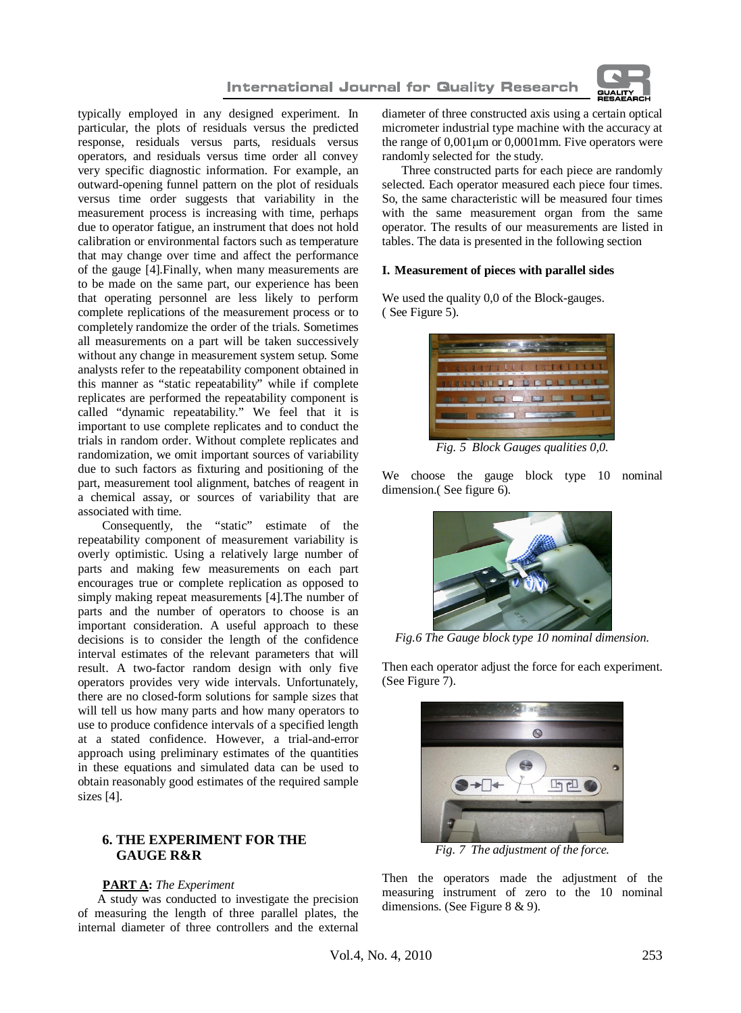

typically employed in any designed experiment. In particular, the plots of residuals versus the predicted response, residuals versus parts, residuals versus operators, and residuals versus time order all convey very specific diagnostic information. For example, an outward-opening funnel pattern on the plot of residuals versus time order suggests that variability in the measurement process is increasing with time, perhaps due to operator fatigue, an instrument that does not hold calibration or environmental factors such as temperature that may change over time and affect the performance of the gauge [4].Finally, when many measurements are to be made on the same part, our experience has been that operating personnel are less likely to perform complete replications of the measurement process or to completely randomize the order of the trials. Sometimes all measurements on a part will be taken successively without any change in measurement system setup. Some analysts refer to the repeatability component obtained in this manner as "static repeatability" while if complete replicates are performed the repeatability component is called "dynamic repeatability." We feel that it is important to use complete replicates and to conduct the trials in random order. Without complete replicates and randomization, we omit important sources of variability due to such factors as fixturing and positioning of the part, measurement tool alignment, batches of reagent in a chemical assay, or sources of variability that are associated with time.

Consequently, the "static" estimate of the repeatability component of measurement variability is overly optimistic. Using a relatively large number of parts and making few measurements on each part encourages true or complete replication as opposed to simply making repeat measurements [4].The number of parts and the number of operators to choose is an important consideration. A useful approach to these decisions is to consider the length of the confidence interval estimates of the relevant parameters that will result. A two-factor random design with only five operators provides very wide intervals. Unfortunately, there are no closed-form solutions for sample sizes that will tell us how many parts and how many operators to use to produce confidence intervals of a specified length at a stated confidence. However, a trial-and-error approach using preliminary estimates of the quantities in these equations and simulated data can be used to obtain reasonably good estimates of the required sample sizes [4].

# **6. THE EXPERIMENT FOR THE GAUGE R&R**

### **PART A:** *The Experiment*

A study was conducted to investigate the precision of measuring the length of three parallel plates, the internal diameter of three controllers and the external

diameter of three constructed axis using a certain optical micrometer industrial type machine with the accuracy at the range of  $0.001 \mu m$  or  $0.0001 \mu m$ . Five operators were randomly selected for the study.

Three constructed parts for each piece are randomly selected. Each operator measured each piece four times. So, the same characteristic will be measured four times with the same measurement organ from the same operator. The results of our measurements are listed in tables. The data is presented in the following section

### **I. Measurement of pieces with parallel sides**

We used the quality 0,0 of the Block-gauges. ( See Figure 5).

|                                         | $\overline{13}$<br>n.                |                                                | <b>SIZE</b>                                               |
|-----------------------------------------|--------------------------------------|------------------------------------------------|-----------------------------------------------------------|
| <b>TATALOG</b>                          | <b>POST</b>                          | Sizes and the                                  |                                                           |
|                                         |                                      | <b>IA</b><br><b>Ta</b><br>u<br>$-61$<br>$-100$ | т<br>×<br>$\overline{M}$<br>т<br>$\overline{\phantom{a}}$ |
| 388<br><b>LES</b><br><b>STE</b><br>5015 | 327<br>1344<br>M<br>105<br><b>Un</b> |                                                |                                                           |
|                                         |                                      | w<br>$\overline{u}$<br>Ŧ                       | ٠<br>z<br>×                                               |
| $\sim$<br>٠<br>×                        |                                      |                                                |                                                           |
|                                         | - 2                                  |                                                | х                                                         |
| ×                                       | ж                                    | $\overline{\mathbf{z}}$<br>$^{12}$             |                                                           |
|                                         |                                      | $-13.00$                                       | <b>Tache</b>                                              |
| ×                                       | $\overline{\phantom{a}}$             | w                                              |                                                           |
|                                         |                                      |                                                |                                                           |
|                                         |                                      |                                                |                                                           |

*Fig. 5 Block Gauges qualities 0,0.*

We choose the gauge block type 10 nominal dimension.( See figure 6).



*Fig.6 The Gauge block type 10 nominal dimension.*

Then each operator adjust the force for each experiment. (See Figure 7).



*Fig. 7 The adjustment of the force.*

Then the operators made the adjustment of the measuring instrument of zero to the 10 nominal dimensions. (See Figure 8 & 9).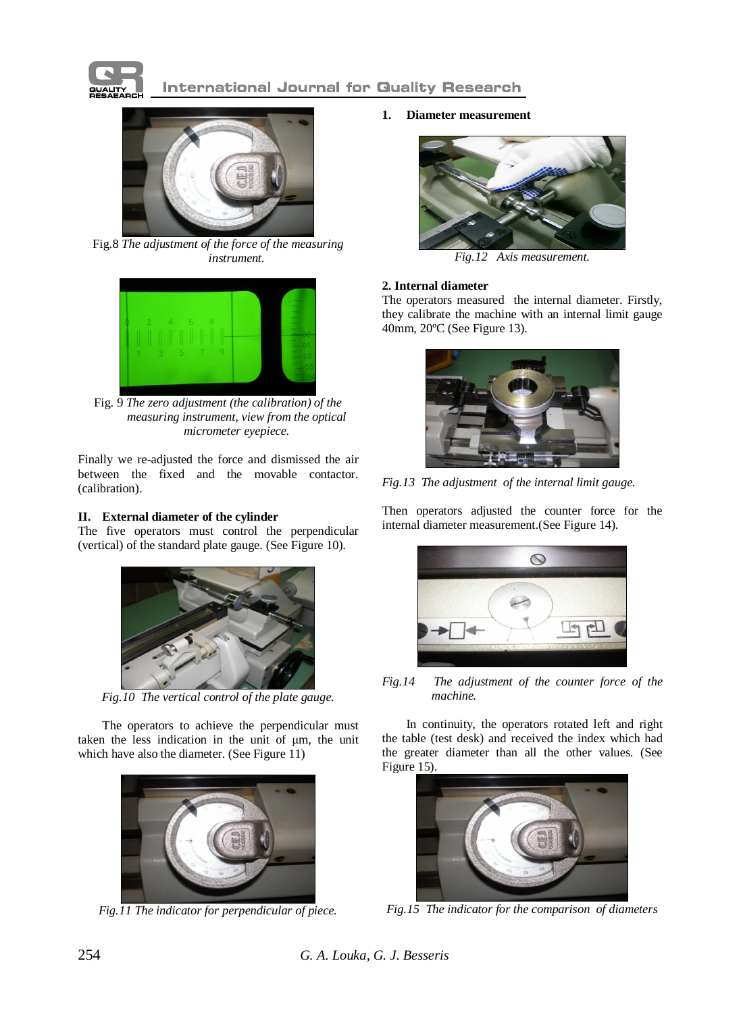



Fig.8 *The adjustment of the force of the measuring instrument.*



Fig. 9 *The zero adjustment (the calibration) of the measuring instrument, view from the optical micrometer eyepiece.*

Finally we re-adjusted the force and dismissed the air between the fixed and the movable contactor. (calibration).

### **II. External diameter of the cylinder**

The five operators must control the perpendicular (vertical) of the standard plate gauge. (See Figure 10).



*Fig.10 The vertical control of the plate gauge.*

 The operators to achieve the perpendicular must taken the less indication in the unit of  $\mu$ m, the unit which have also the diameter. (See Figure 11)



*Fig.11 The indicator for perpendicular of piece.*

**1. Diameter measurement**



*Fig.12 Axis measurement.*

### **2. Internal diameter**

The operators measured the internal diameter. Firstly, they calibrate the machine with an internal limit gauge 40mm, 20ºC (See Figure 13).



*Fig.13 The adjustment of the internal limit gauge.*

Then operators adjusted the counter force for the internal diameter measurement.(See Figure 14).



*Fig.14 The adjustment of the counter force of the machine.*

 In continuity, the operators rotated left and right the table (test desk) and received the index which had the greater diameter than all the other values. (See Figure 15).



*Fig.15 The indicator for the comparison of diameters*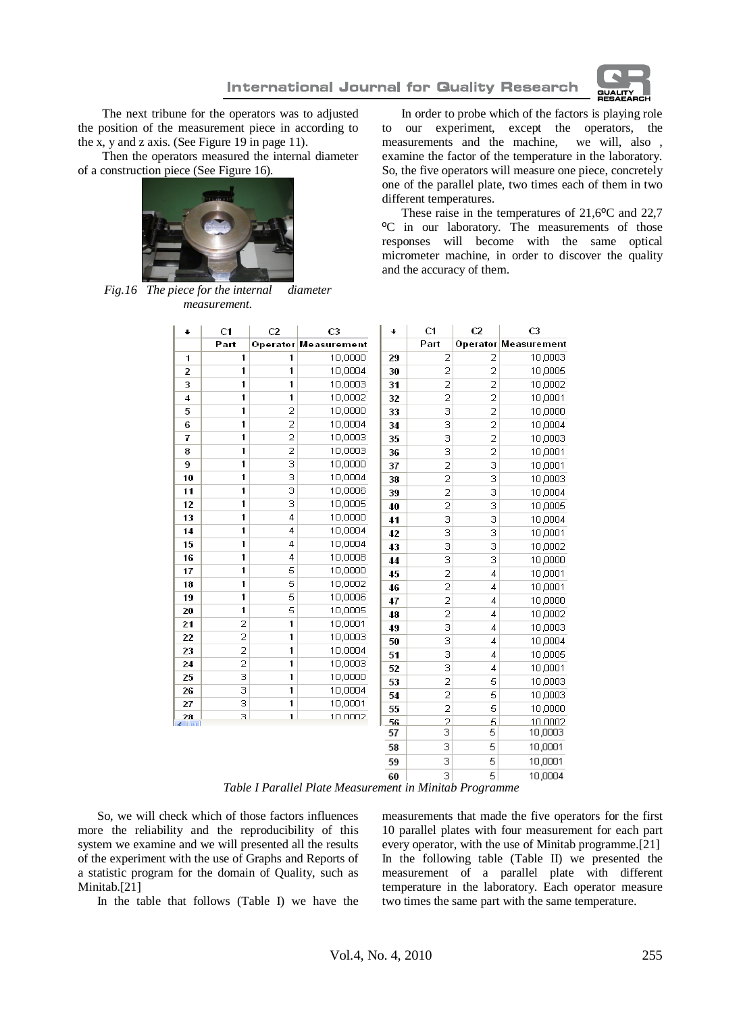

 The next tribune for the operators was to adjusted the position of the measurement piece in according to the x, y and z axis. (See Figure 19 in page 11).

 Then the operators measured the internal diameter of a construction piece (See Figure 16).



*Fig.16 The piece for the internal diameter measurement.*

|                         | C2             | C3                   |
|-------------------------|----------------|----------------------|
| Part                    |                | Operator Measurement |
| 1                       | 1              | 10,0000              |
| 1                       | 1              | 10,0004              |
| 1                       | 1              | 10,0003              |
| 1                       | 1              | 10,0002              |
| 1                       | $\overline{2}$ | 10,0000              |
| 1                       | 2              | 10,0004              |
| 1                       | 2              | 10,0003              |
| 1                       | $\overline{a}$ | 10,0003              |
| 1                       | з              | 10,0000              |
| 1                       | 3              | 10,0004              |
| 1                       | з              | 10,0006              |
| 1                       | з              | 10,0005              |
| 1                       | 4              | 10,0000              |
| 1                       | 4              | 10,0004              |
| 1                       | 4              | 10,0004              |
| 1                       | 4              | 10,0008              |
| 1                       | 5              | 10,0000              |
| 1                       | 5              | 10,0002              |
| 1                       | 5              | 10,0006              |
| 1                       | 5              | 10,0005              |
| 2                       | 1              | 10,0001              |
| $\overline{\mathbf{c}}$ | 1              | 10,0003              |
| $\overline{c}$          | 1              | 10,0004              |
| 2                       | 1              | 10,0003              |
| 3                       | 1              | 10,0000              |
| З                       | 1              | 10,0004              |
| з                       | 1              | 10,0001              |
| З                       | 1              | 10.0002              |
|                         |                |                      |

In order to probe which of the factors is playing role to our experiment, except the operators, the measurements and the machine. we will also. measurements and the machine, examine the factor of the temperature in the laboratory. So, the five operators will measure one piece, concretely one of the parallel plate, two times each of them in two different temperatures.

These raise in the temperatures of 21,6ºC and 22,7 ºC in our laboratory. The measurements of those responses will become with the same optical micrometer machine, in order to discover the quality and the accuracy of them.

| ÷  | C <sub>1</sub> | C <sub>2</sub> | C3          |
|----|----------------|----------------|-------------|
|    | Part           | Operator       | Measurement |
| 29 | 2              | 2              | 10,0003     |
| 30 | $\overline{2}$ | $\overline{a}$ | 10,0005     |
| 31 | $\overline{c}$ | $\overline{c}$ | 10,0002     |
| 32 | $\overline{2}$ | $\overline{c}$ | 10,0001     |
| 33 | 3              | 2              | 10,0000     |
| 34 | 3              | $\overline{c}$ | 10,0004     |
| 35 | з              | $\overline{c}$ | 10,0003     |
| 36 | 3              | $\overline{2}$ | 10,0001     |
| 37 | 2              | 3              | 10,0001     |
| 38 | 2              | 3              | 10,0003     |
| 39 | $\overline{2}$ | 3              | 10,0004     |
| 40 | 2              | 3              | 10,0005     |
| 41 | з              | 3              | 10,0004     |
| 42 | з              | з              | 10,0001     |
| 43 | 3              | 3              | 10,0002     |
| 44 | 3              | 3              | 10,0000     |
| 45 | 2              | 4              | 10,0001     |
| 46 | 2              | 4              | 10,0001     |
| 47 | 2              | 4              | 10,0000     |
| 48 | $\overline{2}$ | 4              | 10,0002     |
| 49 | 3              | 4              | 10,0003     |
| 50 | 3              | 4              | 10,0004     |
| 51 | з              | 4              | 10,0005     |
| 52 | 3              | 4              | 10,0001     |
| 53 | $\overline{2}$ | 5              | 10,0003     |
| 54 | 2              | 5              | 10,0003     |
| 55 | $\overline{2}$ | 5              | 10,0000     |
| 56 | 2              | 5              | 10.0002     |
| 57 | 3              | 5              | 10,0003     |
| 58 | з              | 5              | 10,0001     |
| 59 | 3              | 5              | 10,0001     |
| 60 | 3              | 5              | 10,0004     |

 *Table I Parallel Plate Measurement in Minitab Programme*

So, we will check which of those factors influences more the reliability and the reproducibility of this system we examine and we will presented all the results of the experiment with the use of Graphs and Reports of a statistic program for the domain of Quality, such as Minitab.[21]

In the table that follows (Table I) we have the

measurements that made the five operators for the first 10 parallel plates with four measurement for each part every operator, with the use of Minitab programme.[21] In the following table (Table II) we presented the measurement of a parallel plate with different temperature in the laboratory. Each operator measure two times the same part with the same temperature.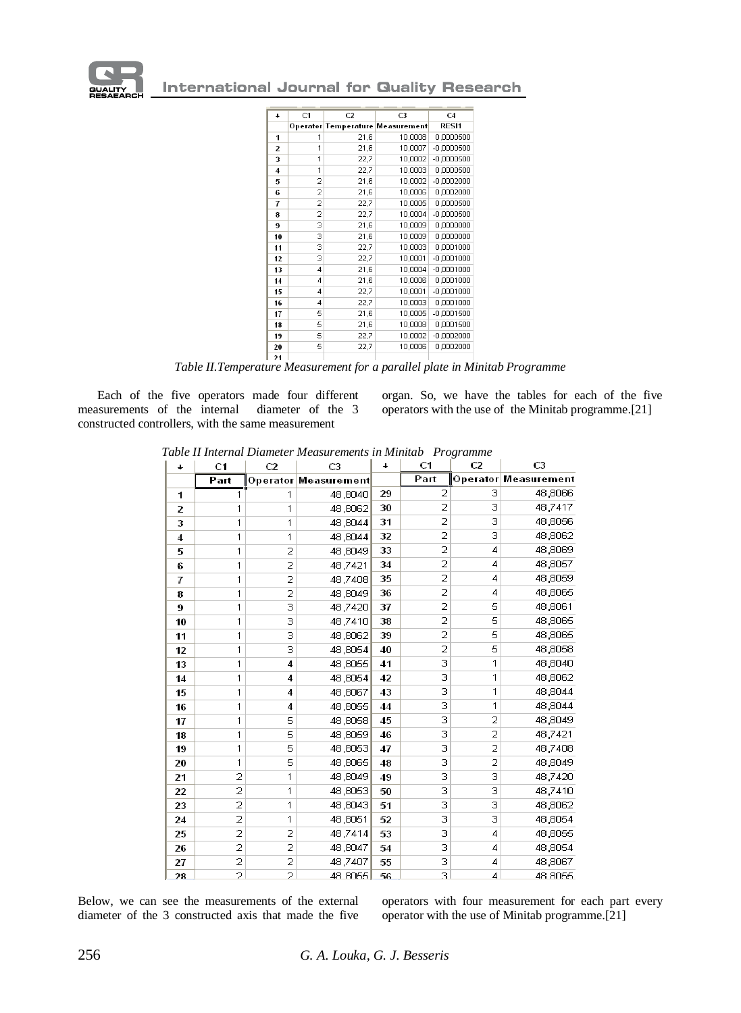

| ¢. | C1             | C <sub>2</sub> | C <sub>3</sub>                   | C4           |
|----|----------------|----------------|----------------------------------|--------------|
|    |                |                | Operator Temperature Measurement | <b>RESI1</b> |
| 1  | 1              | 21,6           | 10,0008                          | 0,0000500    |
| 2  | 1              | 21,6           | 10,0007                          | $-0.0000500$ |
| 3  | 1              | 22.7           | 10,0002                          | $-0,0000500$ |
| 4  | 1              | 22,7           | 10,0003                          | 0,0000500    |
| 5  | $\overline{2}$ | 21,6           | 10,0002                          | $-0,0002000$ |
| 6  | $\overline{2}$ | 21,6           | 10,0006                          | 0,0002000    |
| 7  | $\overline{2}$ | 22,7           | 10,0005                          | 0,0000500    |
| 8  | $\overline{2}$ | 22,7           | 10,0004                          | $-0,0000500$ |
| 9  | 3              | 21.6           | 10,0009                          | 0,0000000    |
| 10 | 3              | 21,6           | 10,0009                          | 0,0000000    |
| 11 | 3              | 22.7           | 10,0003                          | 0,0001000    |
| 12 | 3              | 22,7           | 10,0001                          | $-0,0001000$ |
| 13 | 4              | 21,6           | 10,0004                          | $-0,0001000$ |
| 14 | 4              | 21.6           | 10,0006                          | 0,0001000    |
| 15 | 4              | 22,7           | 10,0001                          | $-0.0001000$ |
| 16 | 4              | 22.7           | 10,0003                          | 0,0001000    |
| 17 | 5              | 21,6           | 10,0005                          | $-0.0001500$ |
| 18 | 5              | 21,6           | 10,0008                          | 0,0001500    |
| 19 | 5              | 22,7           | 10,0002                          | $-0,0002000$ |
| 20 | 5              | 22,7           | 10,0006                          | 0,0002000    |
|    |                |                |                                  |              |

*Table II.Temperature Measurement for a parallel plate in Minitab Programme*

Each of the five operators made four different measurements of the internal diameter of the 3 constructed controllers, with the same measurement

organ. So, we have the tables for each of the five operators with the use of the Minitab programme.[21]

| Table II Internal Diameter Measurements in Minitab Programme |  |  |  |  |
|--------------------------------------------------------------|--|--|--|--|
|--------------------------------------------------------------|--|--|--|--|

| ∔  | C1             | C2             | C3                   | $\ddot{\phantom{0}}$ | C <sub>1</sub> | ັ<br>C <sub>2</sub> | C3                   |
|----|----------------|----------------|----------------------|----------------------|----------------|---------------------|----------------------|
|    | Part           |                | Operator Measurement |                      | Part           |                     | Operator Measurement |
| 1  | 1              | 1              | 48,8040              | 29                   | 2              | 3                   | 48,8066              |
| 2  | 1              | 1              | 48,8062              | 30                   | 2              | 3                   | 48,7417              |
| 3  | 1              | 1              | 48,8044              | 31                   | 2              | 3                   | 48,8056              |
| 4  | 1              | 1              | 48,8044              | 32                   | 2              | 3                   | 48,8062              |
| 5  | 1              | 2              | 48,8049              | 33                   | 2              | 4                   | 48,8069              |
| 6  | 1              | $\overline{a}$ | 48,7421              | 34                   | 2              | 4                   | 48,8057              |
| 7  | 1              | 2              | 48,7408              | 35                   | 2              | 4                   | 48,8059              |
| 8  | 1              | $\overline{a}$ | 48,8049              | 36                   | 2              | 4                   | 48,8065              |
| 9  | 1              | З              | 48,7420              | 37                   | 2              | 5                   | 48,8061              |
| 10 | 1              | З              | 48.7410              | 38                   | 2              | 5                   | 48,8065              |
| 11 | 1              | З              | 48,8062              | 39                   | 2              | 5                   | 48,8065              |
| 12 | 1              | З              | 48,8054              | 40                   | 2              | 5                   | 48,8058              |
| 13 | 1              | 4              | 48,8055              | 41                   | 3              | 1                   | 48,8040              |
| 14 | 1              | 4              | 48,8054              | 42                   | З              | 1                   | 48,8062              |
| 15 | 1              | 4              | 48,8067              | 43                   | з              | 1                   | 48,8044              |
| 16 | 1              | 4              | 48,8055              | 44                   | з              | 1                   | 48,8044              |
| 17 | 1              | 5              | 48,8058              | 45                   | 3              | 2                   | 48,8049              |
| 18 | 1              | 5              | 48,8059              | 46                   | з              | 2                   | 48,7421              |
| 19 | 1              | 5              | 48,8053              | 47                   | 3              | $\overline{2}$      | 48,7408              |
| 20 | 1              | 5              | 48,8065              | 48                   | З              | 2                   | 48,8049              |
| 21 | 2              | 1              | 48,8049              | 49                   | 3              | 3                   | 48,7420              |
| 22 | 2              | 1              | 48,8053              | 50                   | З              | З                   | 48,7410              |
| 23 | 2              | 1              | 48,8043              | 51                   | 3              | 3                   | 48,8062              |
| 24 | $\overline{2}$ | 1              | 48,8051              | 52                   | з              | З                   | 48,8054              |
| 25 | 2              | 2              | 48.7414              | 53                   | з              | 4                   | 48,8055              |
| 26 | 2              | 2              | 48,8047              | 54                   | З              | 4                   | 48,8054              |
| 27 | 2              | 2              | 48,7407              | 55                   | З              | 4                   | 48,8067              |
| 28 | $\overline{a}$ | $\overline{z}$ | 48 8055              | 56                   | 3.             | 4                   | 48 8055              |

Below, we can see the measurements of the external diameter of the 3 constructed axis that made the five operators with four measurement for each part every operator with the use of Minitab programme.[21]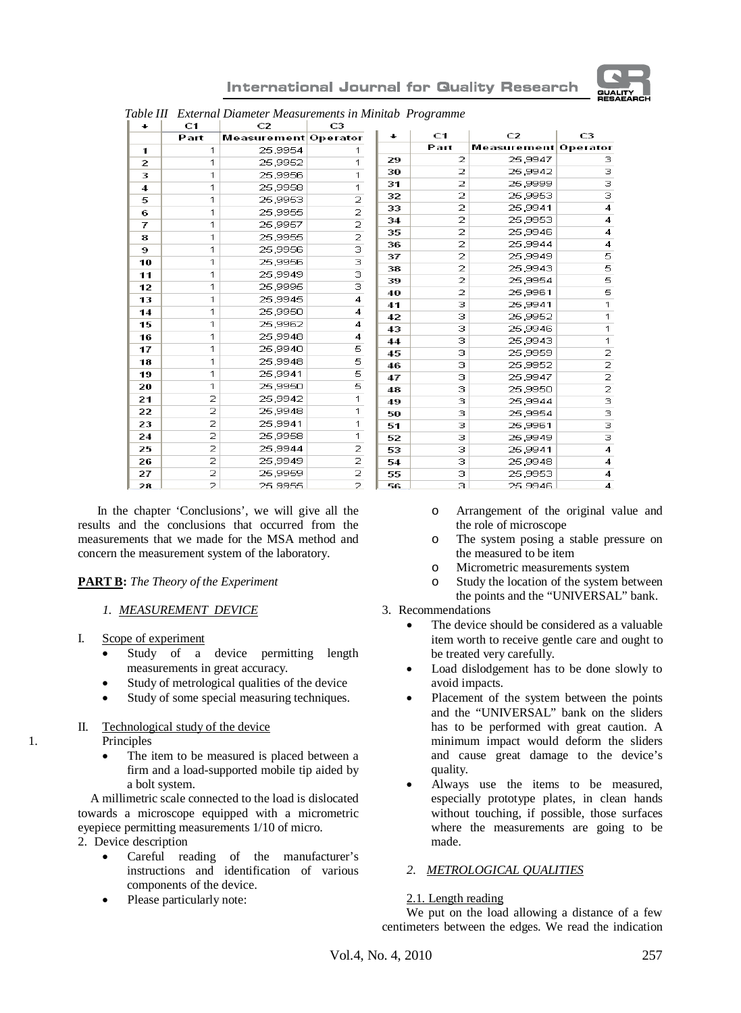

| таоге ни |                | External Diameter measurements in minimum 1 rogramme |                |    |                              |
|----------|----------------|------------------------------------------------------|----------------|----|------------------------------|
| ٠        | С1             | C2                                                   | C3             |    |                              |
|          | Part           | Measurement Operator                                 |                | ٠  | C1                           |
| 1        | 1              | 25,9954                                              | 1              |    | Part                         |
| 2        | 1              | 25,9952                                              | $\overline{1}$ | 29 | 2                            |
| 3        | 1              | 25,9956                                              | 1              | 30 | $\overline{2}$               |
| 4        | 1              | 25,9958                                              | $\overline{1}$ | 31 | 2                            |
| 5        | 1              | 25,9953                                              | 2              | 32 | $\overline{2}$               |
| 6        | $\mathbf{1}$   | 25,9955                                              | 2              | 33 | 2                            |
| 7        | 1              | 25,9957                                              | $\overline{2}$ | 34 | $\overline{z}$               |
| 8        | 1              | 25,9955                                              | $\overline{2}$ | 35 | 2                            |
| 9        | 1              | 25,9956                                              | з              | 36 | $\overline{2}$               |
| 10       | 1              | 25,9956                                              | з              | 37 | 2                            |
| 11       | 1              | 25,9949                                              | З              | 38 | 2                            |
| 12       | 1              | 25,9995                                              | з              | 39 | $\overline{z}$               |
| 13       | 1              | 25,9945                                              | 4              | 40 | 2                            |
| 14       | 1              | 25,9950                                              | 4              | 41 | з                            |
| 15       | 1              | 25,9962                                              | 4              | 42 | з                            |
| 16       | 1              | 25,9948                                              | 4              | 43 | 3                            |
| 17       | 1              | 25,9940                                              | 5              | 44 | з                            |
| 18       | 1              | 25,9948                                              | 5              | 45 | з                            |
| 19       | 1              | 25,9941                                              | 5              | 46 | З                            |
| 20       | 1              | 25,9950                                              | 5              | 47 | з                            |
| 21       | $\overline{2}$ | 25,9942                                              | $\overline{1}$ | 48 | з                            |
| 22       | 2              | 25,9948                                              | $\overline{1}$ | 49 | з                            |
| 23       | $\overline{2}$ | 25,9941                                              | $\overline{1}$ | 50 | З                            |
| 24       | 2              | 25,9958                                              | $\overline{1}$ | 51 | з<br>з                       |
|          | $\overline{z}$ | 25,9944                                              |                | 52 |                              |
| 25       | 2              | 25,9949                                              | 2              | 53 | з<br>з                       |
| 26       | $\overline{2}$ |                                                      | $\frac{2}{2}$  | 54 |                              |
| 27       |                | 25,9959                                              | $\overline{z}$ | 55 | з<br>$\overline{\mathbf{B}}$ |
| 28       | $\overline{a}$ | 25.9955                                              |                | 56 |                              |

 *Table III External Diameter Measurements in Minitab Programme*

In the chapter 'Conclusions', we will give all the results and the conclusions that occurred from the measurements that we made for the MSA method and concern the measurement system of the laboratory.

### **PART B:** *The Theory of the Experiment*

### *1. MEASUREMENT DEVICE*

### I. Scope of experiment

- Study of a device permitting length measurements in great accuracy.
- Study of metrological qualities of the device
- Study of some special measuring techniques.

### II. Technological study of the device

- 1. Principles
	- The item to be measured is placed between a firm and a load-supported mobile tip aided by a bolt system.

A millimetric scale connected to the load is dislocated towards a microscope equipped with a micrometric eyepiece permitting measurements 1/10 of micro. 2. Device description

- Careful reading of the manufacturer's instructions and identification of various components of the device.
- Please particularly note:

| +  | C1             | C2                   | C3                      |
|----|----------------|----------------------|-------------------------|
|    | Part           | Measurement Operator |                         |
| 29 | 2              | 25,9947              | з                       |
| 30 | $\overline{2}$ | 25,9942              | з                       |
| 31 | 2              | 25,9999              | З                       |
| 32 | $\overline{2}$ | 25,9953              | 3                       |
| 33 | 2              | 25,9941              | 4                       |
| 34 | $\overline{2}$ | 25,9953              | 4                       |
| 35 | $\overline{a}$ | 25,9946              | 4                       |
| 36 | $\overline{z}$ | 25,9944              | 4                       |
| 37 | 2              | 25,9949              | 5                       |
| 38 | 2              | 25,9943              | 5                       |
| 39 | $\overline{2}$ | 25,9954              | 5                       |
| 40 | 2              | 25,9961              | 5                       |
| 41 | з              | 25,9941              | $\overline{1}$          |
| 42 | з              | 25,9952              | 1                       |
| 43 | з              | 25,9946              | $\overline{1}$          |
| 44 | з              | 25,9943              | 1                       |
| 45 | з              | 25,9959              | 2                       |
| 46 | з              | 25,9952              | $\overline{2}$          |
| 47 | з              | 25,9947              | $\overline{\mathbf{c}}$ |
| 48 | з              | 25,9950              | $\overline{2}$          |
| 49 | з              | 25,9944              | $\overline{3}$          |
| 50 | з              | 25,9954              | 3                       |
| 51 | з              | 25,9961              | з                       |
| 52 | з              | 25,9949              | з                       |
| 53 | з              | 25,9941              | 4                       |
| 54 | з              | 25,9948              | 4                       |
| 55 | з              | 25,9953              | 4                       |
| 56 | Э              | 25.9946              | $\overline{\mathbf{A}}$ |

- o Arrangement of the original value and the role of microscope
- o The system posing a stable pressure on the measured to be item
- o Micrometric measurements system
- o Study the location of the system between the points and the "UNIVERSAL" bank.

### 3. Recommendations

- The device should be considered as a valuable item worth to receive gentle care and ought to be treated very carefully.
- Load dislodgement has to be done slowly to avoid impacts.
- Placement of the system between the points and the "UNIVERSAL" bank on the sliders has to be performed with great caution. A minimum impact would deform the sliders and cause great damage to the device's quality.
- x Always use the items to be measured, especially prototype plates, in clean hands without touching, if possible, those surfaces where the measurements are going to be made.

### *2. METROLOGICAL QUALITIES*

### 2.1. Length reading

 We put on the load allowing a distance of a few centimeters between the edges. We read the indication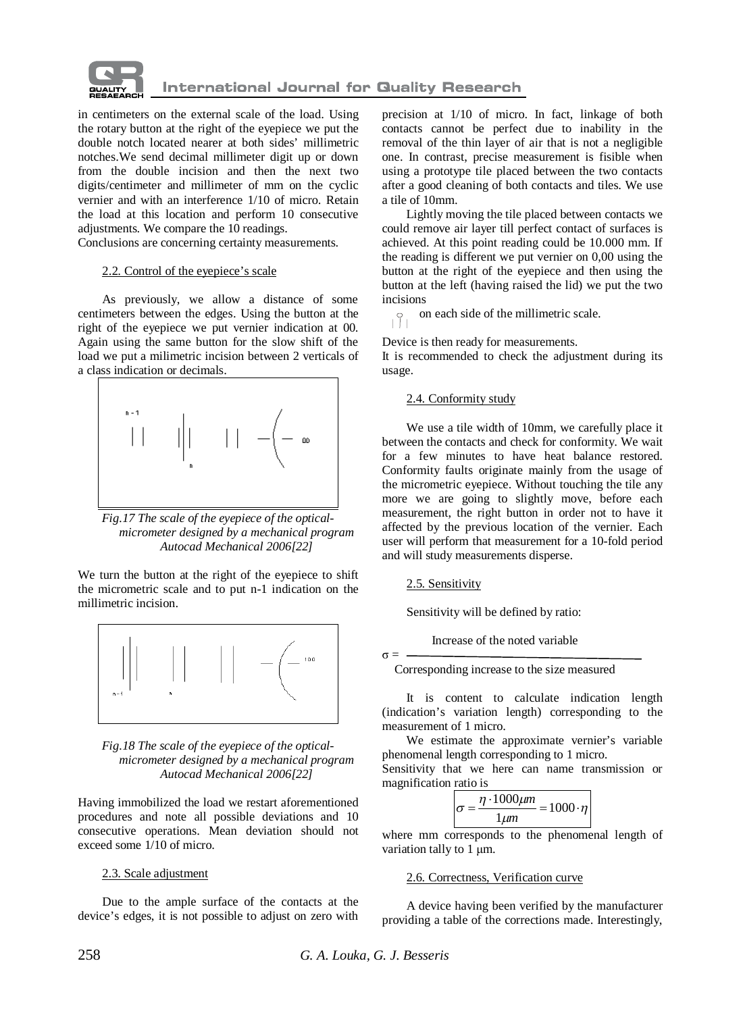

in centimeters on the external scale of the load. Using the rotary button at the right of the eyepiece we put the double notch located nearer at both sides' millimetric notches.We send decimal millimeter digit up or down from the double incision and then the next two digits/centimeter and millimeter of mm on the cyclic vernier and with an interference 1/10 of micro. Retain the load at this location and perform 10 consecutive adjustments. We compare the 10 readings.

Conclusions are concerning certainty measurements.

### 2.2. Control of the eyepiece's scale

 As previously, we allow a distance of some centimeters between the edges. Using the button at the right of the eyepiece we put vernier indication at 00. Again using the same button for the slow shift of the load we put a milimetric incision between 2 verticals of a class indication or decimals.



*Fig.17 The scale of the eyepiece of the opticalmicrometer designed by a mechanical program Autocad Mechanical 2006[22]*

We turn the button at the right of the eyepiece to shift the micrometric scale and to put n-1 indication on the millimetric incision.



*Fig.18 The scale of the eyepiece of the opticalmicrometer designed by a mechanical program Autocad Mechanical 2006[22]*

Having immobilized the load we restart aforementioned procedures and note all possible deviations and 10 consecutive operations. Mean deviation should not exceed some 1/10 of micro.

#### 2.3. Scale adjustment

 Due to the ample surface of the contacts at the device's edges, it is not possible to adjust on zero with precision at 1/10 of micro. In fact, linkage of both contacts cannot be perfect due to inability in the removal of the thin layer of air that is not a negligible one. In contrast, precise measurement is fisible when using a prototype tile placed between the two contacts after a good cleaning of both contacts and tiles. We use a tile of 10mm.

 Lightly moving the tile placed between contacts we could remove air layer till perfect contact of surfaces is achieved. At this point reading could be 10.000 mm. If the reading is different we put vernier on 0,00 using the button at the right of the eyepiece and then using the button at the left (having raised the lid) we put the two incisions

 $\circ$  on each side of the millimetric scale.

Device is then ready for measurements.

It is recommended to check the adjustment during its usage.

### 2.4. Conformity study

 We use a tile width of 10mm, we carefully place it between the contacts and check for conformity. We wait for a few minutes to have heat balance restored. Conformity faults originate mainly from the usage of the micrometric eyepiece. Without touching the tile any more we are going to slightly move, before each measurement, the right button in order not to have it affected by the previous location of the vernier. Each user will perform that measurement for a 10-fold period and will study measurements disperse.

#### 2.5. Sensitivity

 $\sigma =$ 

Sensitivity will be defined by ratio:

Increase of the noted variable

 It is content to calculate indication length (indication's variation length) corresponding to the measurement of 1 micro.

 We estimate the approximate vernier's variable phenomenal length corresponding to 1 micro.

Sensitivity that we here can name transmission or magnification ratio is

$$
\sigma = \frac{\eta \cdot 1000 \mu m}{1 \mu m} = 1000 \cdot \eta
$$

where mm corresponds to the phenomenal length of variation tally to  $1 \mu m$ .

#### 2.6. Correctness, Verification curve

A device having been verified by the manufacturer providing a table of the corrections made. Interestingly,

Corresponding increase to the size measured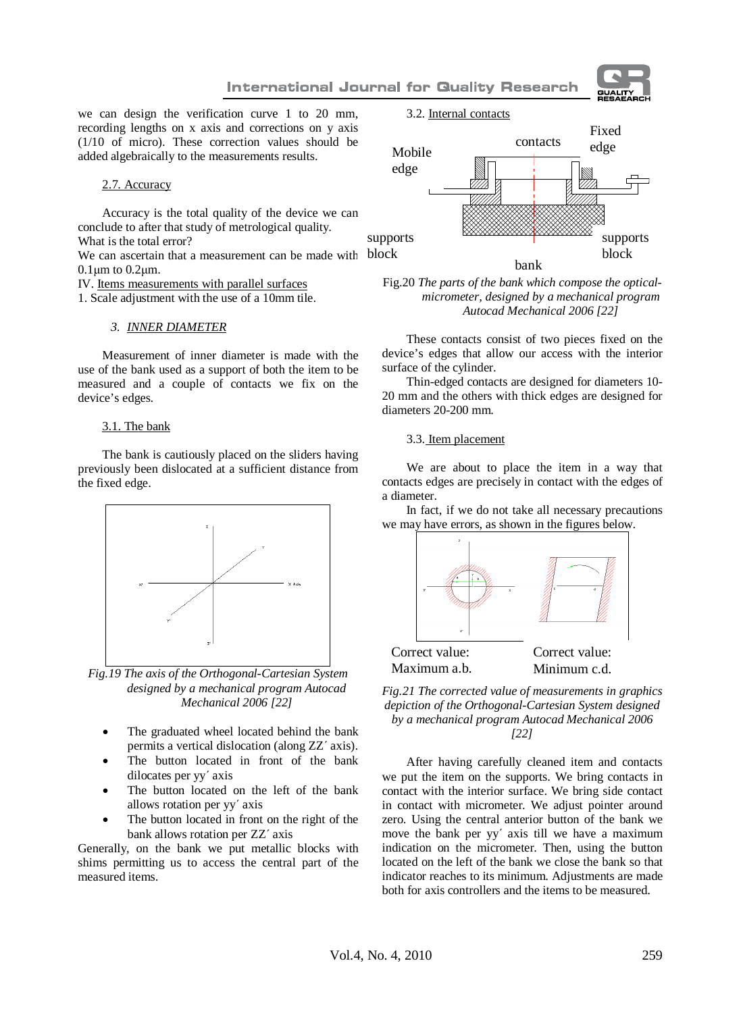we can design the verification curve 1 to 20 mm, recording lengths on x axis and corrections on y axis (1/10 of micro). These correction values should be added algebraically to the measurements results.

#### 2.7. Accuracy

Accuracy is the total quality of the device we can conclude to after that study of metrological quality. What is the total error?

We can ascertain that a measurement can be made with block  $0.1 \mu m$  to  $0.2 \mu m$ .

IV. Items measurements with parallel surfaces 1. Scale adjustment with the use of a 10mm tile.

#### *3. INNER DIAMETER*

Measurement of inner diameter is made with the use of the bank used as a support of both the item to be measured and a couple of contacts we fix on the device's edges.

#### 3.1. The bank

The bank is cautiously placed on the sliders having previously been dislocated at a sufficient distance from the fixed edge.



*Fig.19 The axis of the Orthogonal-Cartesian System designed by a mechanical program Autocad Mechanical 2006 [22]*

- The graduated wheel located behind the bank permits a vertical dislocation (along  $ZZ'$  axis).
- The button located in front of the bank dilocates per yy' axis
- The button located on the left of the bank allows rotation per yy' axis
- The button located in front on the right of the bank allows rotation per ZZ' axis

Generally, on the bank we put metallic blocks with shims permitting us to access the central part of the measured items.



Fig.20 *The parts of the bank which compose the opticalmicrometer, designed by a mechanical program Autocad Mechanical 2006 [22]*

 These contacts consist of two pieces fixed on the device's edges that allow our access with the interior surface of the cylinder.

 Thin-edged contacts are designed for diameters 10- 20 mm and the others with thick edges are designed for diameters 20-200 mm.

#### 3.3. Item placement

We are about to place the item in a way that contacts edges are precisely in contact with the edges of a diameter.

 In fact, if we do not take all necessary precautions we may have errors, as shown in the figures below.





 After having carefully cleaned item and contacts we put the item on the supports. We bring contacts in contact with the interior surface. We bring side contact in contact with micrometer. We adjust pointer around zero. Using the central anterior button of the bank we move the bank per yy' axis till we have a maximum indication on the micrometer. Then, using the button located on the left of the bank we close the bank so that indicator reaches to its minimum. Adjustments are made both for axis controllers and the items to be measured.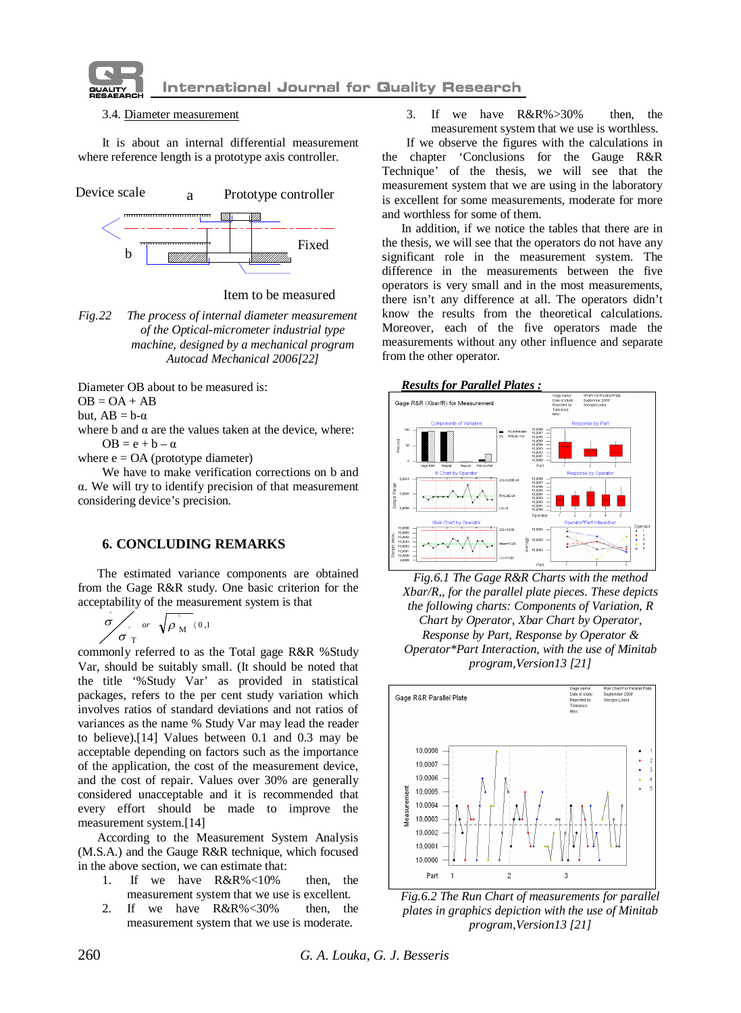

### 3.4. Diameter measurement

It is about an internal differential measurement where reference length is a prototype axis controller.



Item to be measured

*Fig.22 The process of internal diameter measurement of the Optical-micrometer industrial type machine, designed by a mechanical program Autocad Mechanical 2006[22]*

Diameter OB about to be measured is:

 $OB = OA + AB$ 

but,  $AB = b-a$ 

where b and  $\alpha$  are the values taken at the device, where:  $OB = e + b - \alpha$ 

where  $e = OA$  (prototype diameter)

 We have to make verification corrections on b and  $\alpha$ . We will try to identify precision of that measurement considering device's precision.

# **6. CONCLUDING REMARKS**

The estimated variance components are obtained from the Gage R&R study. One basic criterion for the acceptability of the measurement system is that

$$
\sigma_{\sigma_{T}}^{\prime} \circ r \sqrt{\rho_{M}}^{\prime} \circ 0,1
$$

commonly referred to as the Total gage R&R %Study Var, should be suitably small. (It should be noted that the title '%Study Var' as provided in statistical packages, refers to the per cent study variation which involves ratios of standard deviations and not ratios of variances as the name % Study Var may lead the reader to believe).[14] Values between 0.1 and 0.3 may be acceptable depending on factors such as the importance of the application, the cost of the measurement device, and the cost of repair. Values over 30% are generally considered unacceptable and it is recommended that every effort should be made to improve the measurement system.[14]

According to the Measurement System Analysis (M.S.A.) and the Gauge R&R technique, which focused in the above section, we can estimate that:

- 1. If we have R&R%<10% then, the measurement system that we use is excellent.
- 2. If we have R&R%<30% then, the measurement system that we use is moderate.

3. If we have R&R%>30% then, the measurement system that we use is worthless.

 If we observe the figures with the calculations in the chapter 'Conclusions for the Gauge R&R Technique' of the thesis, we will see that the measurement system that we are using in the laboratory is excellent for some measurements, moderate for more and worthless for some of them.

In addition, if we notice the tables that there are in the thesis, we will see that the operators do not have any significant role in the measurement system. The difference in the measurements between the five operators is very small and in the most measurements, there isn't any difference at all. The operators didn't know the results from the theoretical calculations. Moreover, each of the five operators made the measurements without any other influence and separate from the other operator.

*Results for Parallel Plates :*



*Fig.6.1 The Gage R&R Charts with the method Xbar/R,, for the parallel plate pieces. These depicts the following charts: Components of Variation, R Chart by Operator, Xbar Chart by Operator, Response by Part, Response by Operator & Operator\*Part Interaction, with the use of Minitab program,Version13 [21]*



*Fig.6.2 The Run Chart of measurements for parallel plates in graphics depiction with the use of Minitab program,Version13 [21]*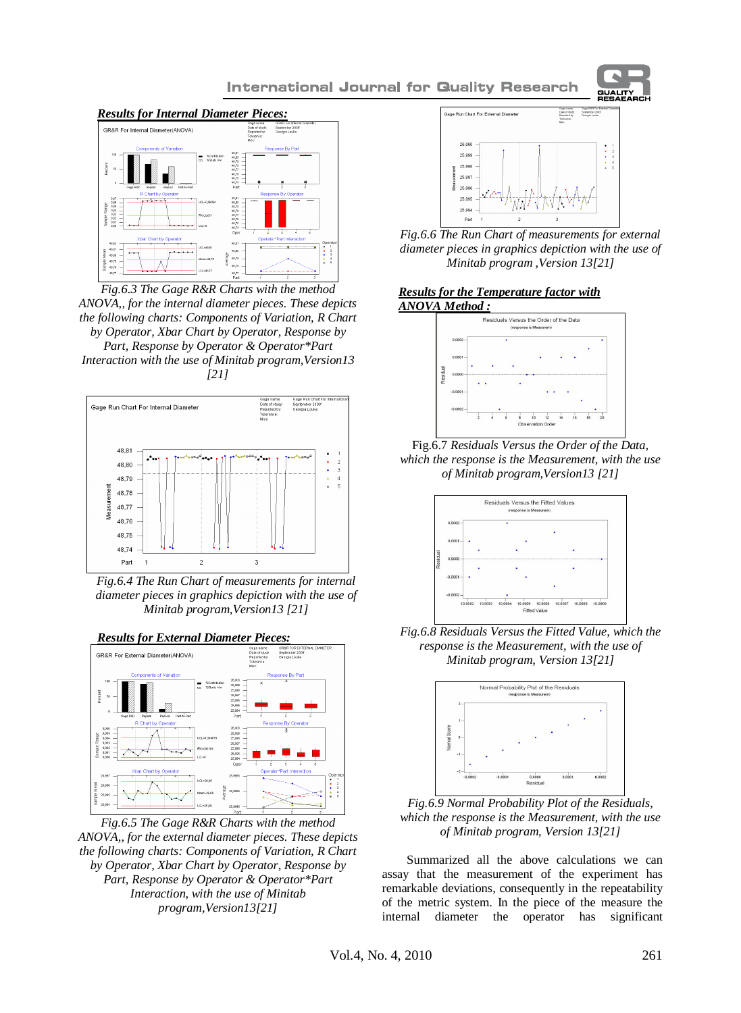

#### *Results for Internal Diameter Pieces:*



*Fig.6.3 The Gage R&R Charts with the method ANOVA,, for the internal diameter pieces. These depicts the following charts: Components of Variation, R Chart by Operator, Xbar Chart by Operator, Response by Part, Response by Operator & Operator\*Part Interaction with the use of Minitab program,Version13 [21]*



*Fig.6.4 The Run Chart of measurements for internal diameter pieces in graphics depiction with the use of Minitab program,Version13 [21]*





*Fig.6.5 The Gage R&R Charts with the method ANOVA,, for the external diameter pieces. These depicts the following charts: Components of Variation, R Chart by Operator, Xbar Chart by Operator, Response by Part, Response by Operator & Operator\*Part Interaction, with the use of Minitab program,Version13[21]*



*Fig.6.6 The Run Chart of measurements for external diameter pieces in graphics depiction with the use of Minitab program ,Version 13[21]*

#### *Results for the Temperature factor with ANOVA Method :*



Fig.6.7 *Residuals Versus the Order of the Data, which the response is the Measurement, with the use of Minitab program,Version13 [21]*



*Fig.6.8 Residuals Versus the Fitted Value, which the response is the Measurement, with the use of Minitab program, Version 13[21]*



*Fig.6.9 Normal Probability Plot of the Residuals, which the response is the Measurement, with the use of Minitab program, Version 13[21]*

Summarized all the above calculations we can assay that the measurement of the experiment has remarkable deviations, consequently in the repeatability of the metric system. In the piece of the measure the internal diameter the operator has significant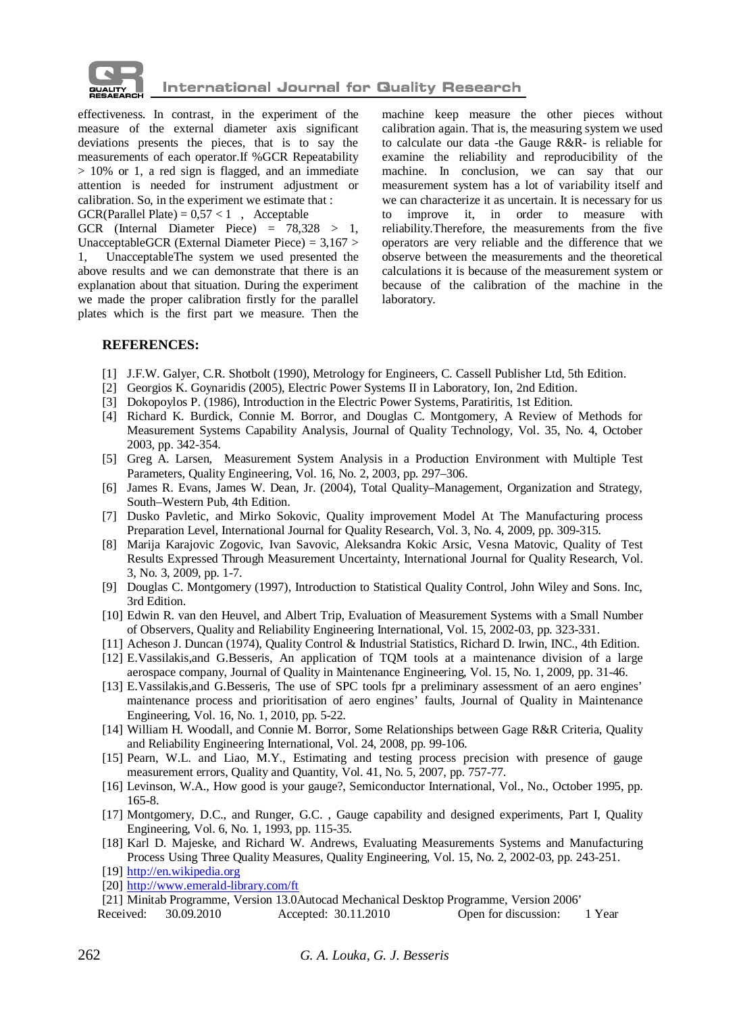

effectiveness. In contrast, in the experiment of the measure of the external diameter axis significant deviations presents the pieces, that is to say the measurements of each operator.If %GCR Repeatability  $> 10\%$  or 1, a red sign is flagged, and an immediate attention is needed for instrument adjustment or calibration. So, in the experiment we estimate that :

GCR(Parallel Plate) =  $0.57 < 1$ , Acceptable

GCR (Internal Diameter Piece) = 78,328 > 1, UnacceptableGCR (External Diameter Piece) = 3,167 > 1, UnacceptableThe system we used presented the above results and we can demonstrate that there is an explanation about that situation. During the experiment we made the proper calibration firstly for the parallel plates which is the first part we measure. Then the

machine keep measure the other pieces without calibration again. That is, the measuring system we used to calculate our data -the Gauge R&R- is reliable for examine the reliability and reproducibility of the machine. In conclusion, we can say that our measurement system has a lot of variability itself and we can characterize it as uncertain. It is necessary for us to improve it, in order to measure with reliability.Therefore, the measurements from the five operators are very reliable and the difference that we observe between the measurements and the theoretical calculations it is because of the measurement system or because of the calibration of the machine in the laboratory.

### **REFERENCES:**

- [1] J.F.W. Galyer, C.R. Shotbolt (1990), Metrology for Engineers, C. Cassell Publisher Ltd, 5th Edition.
- [2] Georgios K. Goynaridis (2005), Electric Power Systems II in Laboratory, Ion, 2nd Edition.
- [3] Dokopoylos P. (1986), Introduction in the Electric Power Systems, Paratiritis, 1st Edition.
- [4] Richard K. Burdick, Connie M. Borror, and Douglas C. Montgomery, A Review of Methods for Measurement Systems Capability Analysis, Journal of Quality Technology, Vol. 35, No. 4, October 2003, pp. 342-354.
- [5] Greg A. Larsen, Measurement System Analysis in a Production Environment with Multiple Test Parameters, Quality Engineering, Vol. 16, No. 2, 2003, pp. 297–306.
- [6] James R. Evans, James W. Dean, Jr. (2004), Total Quality–Management, Organization and Strategy, South–Western Pub, 4th Edition.
- [7] Dusko Pavletic, and Mirko Sokovic, Quality improvement Model At The Manufacturing process Preparation Level, International Journal for Quality Research, Vol. 3, No. 4, 2009, pp. 309-315.
- [8] Marija Karajovic Zogovic, Ivan Savovic, Aleksandra Kokic Arsic, Vesna Matovic, Quality of Test Results Expressed Through Measurement Uncertainty, International Journal for Quality Research, Vol. 3, No. 3, 2009, pp. 1-7.
- [9] Douglas C. Montgomery (1997), Introduction to Statistical Quality Control, John Wiley and Sons. Inc, 3rd Edition.
- [10] Edwin R. van den Heuvel, and Albert Trip, Evaluation of Measurement Systems with a Small Number of Observers, Quality and Reliability Engineering International, Vol. 15, 2002-03, pp. 323-331.
- [11] Acheson J. Duncan (1974), Quality Control & Industrial Statistics, Richard D. Irwin, INC., 4th Edition.
- [12] E.Vassilakis,and G.Besseris, An application of TQM tools at a maintenance division of a large aerospace company, Journal of Quality in Maintenance Engineering, Vol. 15, No. 1, 2009, pp. 31-46.
- [13] E.Vassilakis,and G.Besseris, The use of SPC tools fpr a preliminary assessment of an aero engines' maintenance process and prioritisation of aero engines' faults, Journal of Quality in Maintenance Engineering, Vol. 16, No. 1, 2010, pp. 5-22.
- [14] William H. Woodall, and Connie M. Borror, Some Relationships between Gage R&R Criteria, Quality and Reliability Engineering International, Vol. 24, 2008, pp. 99-106.
- [15] Pearn, W.L. and Liao, M.Y., Estimating and testing process precision with presence of gauge measurement errors, Quality and Quantity, Vol. 41, No. 5, 2007, pp. 757-77.
- [16] Levinson, W.A., How good is your gauge?, Semiconductor International, Vol., No., October 1995, pp. 165-8.
- [17] Montgomery, D.C., and Runger, G.C. , Gauge capability and designed experiments, Part I, Quality Engineering, Vol. 6, No. 1, 1993, pp. 115-35.
- [18] Karl D. Majeske, and Richard W. Andrews, Evaluating Measurements Systems and Manufacturing Process Using Three Quality Measures, Quality Engineering, Vol. 15, No. 2, 2002-03, pp. 243-251.
- [19] http://en.wikipedia.org
- [20] http://www.emerald-library.com/ft

[21] Minitab Programme, Version 13.0Autocad Mechanical Desktop Programme, Version 2006'

Received: 30.09.2010 Accepted: 30.11.2010 Open for discussion: 1 Year